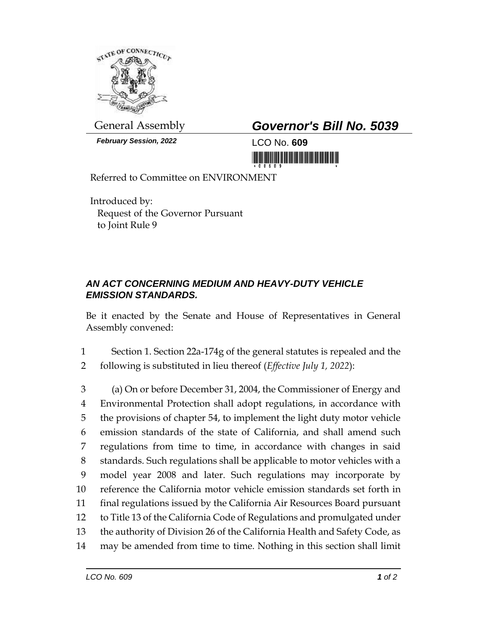

*February Session, 2022* LCO No. **609**

General Assembly *Governor's Bill No. 5039*

<u> III ji ji ji ji ji ji katika katika katika katika katika katika katika katika katika katika katika katika kati</u>

Referred to Committee on ENVIRONMENT

Introduced by: Request of the Governor Pursuant to Joint Rule 9

## *AN ACT CONCERNING MEDIUM AND HEAVY-DUTY VEHICLE EMISSION STANDARDS.*

Be it enacted by the Senate and House of Representatives in General Assembly convened:

1 Section 1. Section 22a-174g of the general statutes is repealed and the 2 following is substituted in lieu thereof (*Effective July 1, 2022*):

 (a) On or before December 31, 2004, the Commissioner of Energy and Environmental Protection shall adopt regulations, in accordance with the provisions of chapter 54, to implement the light duty motor vehicle emission standards of the state of California, and shall amend such regulations from time to time, in accordance with changes in said standards. Such regulations shall be applicable to motor vehicles with a model year 2008 and later. Such regulations may incorporate by reference the California motor vehicle emission standards set forth in final regulations issued by the California Air Resources Board pursuant to Title 13 of the California Code of Regulations and promulgated under the authority of Division 26 of the California Health and Safety Code, as may be amended from time to time. Nothing in this section shall limit